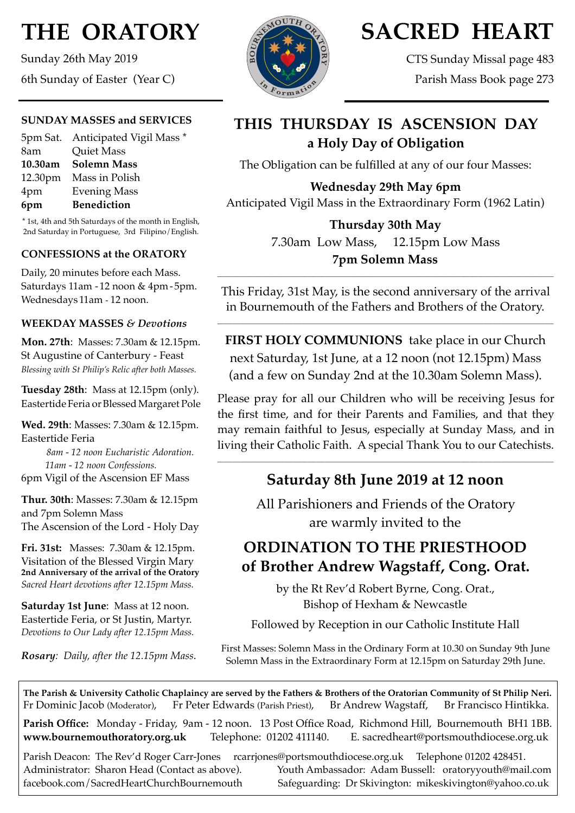# **THE ORATORY**

Sunday 26th May 2019 6th Sunday of Easter (Year C)

### **SUNDAY MASSES and SERVICES**

|         | 5pm Sat. Anticipated Vigil Mass * |
|---------|-----------------------------------|
| 8am     | <b>Quiet Mass</b>                 |
| 10.30am | <b>Solemn Mass</b>                |
|         | 12.30pm Mass in Polish            |
| 4pm     | <b>Evening Mass</b>               |
| 6pm     | <b>Benediction</b>                |
|         |                                   |

\* 1st, 4th and 5th Saturdays of the month in English, 2nd Saturday in Portuguese, 3rd Filipino/English.

### **CONFESSIONS at the ORATORY**

Daily, 20 minutes before each Mass. Saturdays 11am - 12 noon & 4pm- 5pm. Wednesdays 11am - 12 noon.

#### **WEEKDAY MASSES** *& Devotions*

**Mon. 27th**: Masses: 7.30am & 12.15pm. St Augustine of Canterbury - Feast *Blessing with St Philip's Relic after both Masses.*

**Tuesday 28th**: Mass at 12.15pm (only). Eastertide Feria or Blessed Margaret Pole

**Wed. 29th**: Masses: 7.30am & 12.15pm. Eastertide Feria

 *8am - 12 noon Eucharistic Adoration. 11am - 12 noon Confessions.* 6pm Vigil of the Ascension EF Mass

**Thur. 30th**: Masses: 7.30am & 12.15pm and 7pm Solemn Mass The Ascension of the Lord - Holy Day

**Fri. 31st:** Masses: 7.30am & 12.15pm. Visitation of the Blessed Virgin Mary **2nd Anniversary of the arrival of the Oratory** *Sacred Heart devotions after 12.15pm Mass.*

**Saturday 1st June**: Mass at 12 noon. Eastertide Feria, or St Justin, Martyr. *Devotions to Our Lady after 12.15pm Mass.*

*Rosary: Daily, after the 12.15pm Mass*.



# **SACRED HEART**

CTS Sunday Missal page 483 Parish Mass Book page 273

## **THIS THURSDAY IS ASCENSION DAY a Holy Day of Obligation**

The Obligation can be fulfilled at any of our four Masses:

**Wednesday 29th May 6pm** Anticipated Vigil Mass in the Extraordinary Form (1962 Latin)

### **Thursday 30th May** 7.30am Low Mass, 12.15pm Low Mass **7pm Solemn Mass**

This Friday, 31st May, is the second anniversary of the arrival in Bournemouth of the Fathers and Brothers of the Oratory.

\_\_\_\_\_\_\_\_\_\_\_\_\_\_\_\_\_\_\_\_\_\_\_\_\_\_\_\_\_\_\_\_\_\_\_\_\_\_\_\_\_\_\_\_\_\_\_\_\_\_\_\_\_\_\_\_\_\_\_\_\_\_\_\_\_\_\_\_\_\_\_\_\_\_\_\_\_\_\_\_\_\_\_\_\_\_\_\_\_\_\_\_\_\_\_\_\_\_\_\_\_\_\_\_\_\_\_\_\_\_\_\_\_\_\_\_

**\_\_\_\_\_\_\_\_\_\_\_\_\_\_\_\_\_\_\_\_\_\_\_\_\_\_\_\_\_\_\_\_\_\_\_\_\_\_\_\_\_\_\_\_\_\_\_\_\_\_\_\_\_\_\_\_\_\_\_\_\_\_\_\_\_\_\_\_\_\_\_\_\_\_\_\_\_\_\_\_\_\_\_\_\_\_\_\_\_\_\_\_\_\_\_\_\_\_\_\_\_\_\_\_\_\_\_\_\_\_\_\_\_\_\_\_**

**FIRST HOLY COMMUNIONS** take place in our Church next Saturday, 1st June, at a 12 noon (not 12.15pm) Mass (and a few on Sunday 2nd at the 10.30am Solemn Mass).

Please pray for all our Children who will be receiving Jesus for the first time, and for their Parents and Families, and that they may remain faithful to Jesus, especially at Sunday Mass, and in living their Catholic Faith. A special Thank You to our Catechists.

## **Saturday 8th June 2019 at 12 noon**

\_\_\_\_\_\_\_\_\_\_\_\_\_\_\_\_\_\_\_\_\_\_\_\_\_\_\_\_\_\_\_\_\_\_\_\_\_\_\_\_\_\_\_\_\_\_\_\_\_\_\_\_\_\_\_\_\_\_\_\_\_\_\_\_\_\_\_\_\_\_\_\_\_\_\_\_\_\_\_\_\_\_\_\_\_\_\_\_\_\_\_\_\_\_\_\_\_\_\_\_\_\_\_\_\_\_\_\_\_\_\_\_\_\_\_\_

All Parishioners and Friends of the Oratory are warmly invited to the

# **ORDINATION TO THE PRIESTHOOD of Brother Andrew Wagstaff, Cong. Orat.**

by the Rt Rev'd Robert Byrne, Cong. Orat., Bishop of Hexham & Newcastle

Followed by Reception in our Catholic Institute Hall

First Masses: Solemn Mass in the Ordinary Form at 10.30 on Sunday 9th June Solemn Mass in the Extraordinary Form at 12.15pm on Saturday 29th June.

**The Parish & University Catholic Chaplaincy are served by the Fathers & Brothers of the Oratorian Community of St Philip Neri.** Fr Dominic Jacob (Moderator), Fr Peter Edwards (Parish Priest), Br Andrew Wagstaff, Br Francisco Hintikka.

**Parish Office:** Monday - Friday, 9am - 12 noon. 13 Post Office Road, Richmond Hill, Bournemouth BH1 1BB. **[www.bournemouthoratory.org.uk](http://www.bournemoithoratory.org.uk)** Telephone: 01202 411140. E. [sacredheart@portsmouthdiocese.org.uk](mailto:sacredheart@portsmouthdiocese.org.uk)

Parish Deacon: The Rev'd Roger Carr-Jones [rcarrjones@portsmouthdiocese.org.uk](mailto:rcarrjones@portsmouthdiocese.org.uk) Telephone 01202 428451. Administrator: Sharon Head (Contact as above). Youth Ambassador: Adam Bussell: [oratoryyouth@mail.com](http://oratoryyouth.mail.com) [facebook.com/SacredHeartChurchBournemouth](http://facebook.com/SaccredHeartChurchBournemouth) Safeguarding: Dr Skivington: mikeskivington@yahoo.co.uk